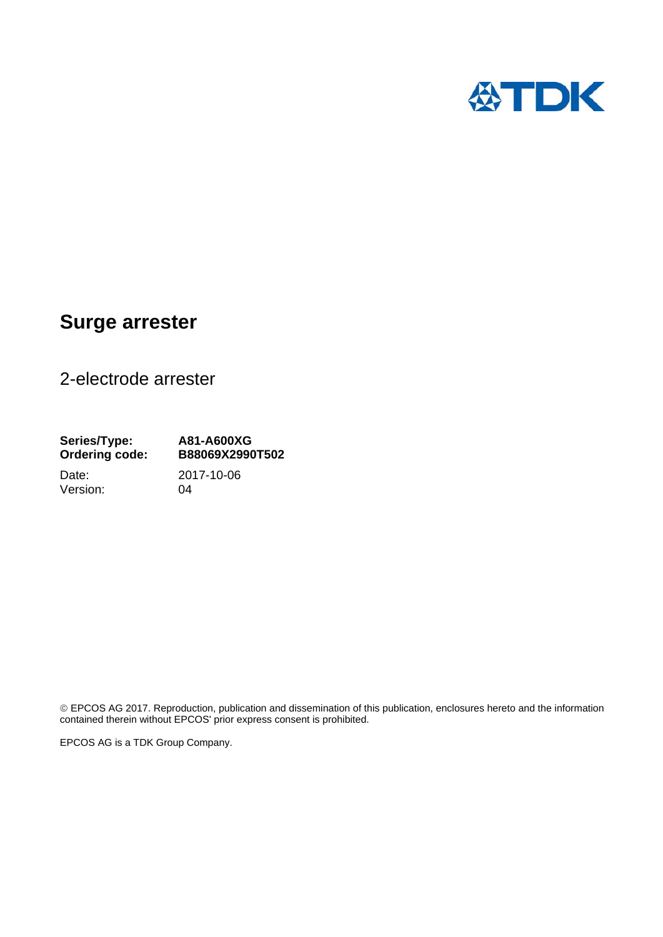

# **Surge arrester**

2-electrode arrester

Version: 04

**Series/Type: A81-A600XG Ordering code: B88069X2990T502**  Date: 2017-10-06

 EPCOS AG 2017. Reproduction, publication and dissemination of this publication, enclosures hereto and the information contained therein without EPCOS' prior express consent is prohibited.

EPCOS AG is a TDK Group Company.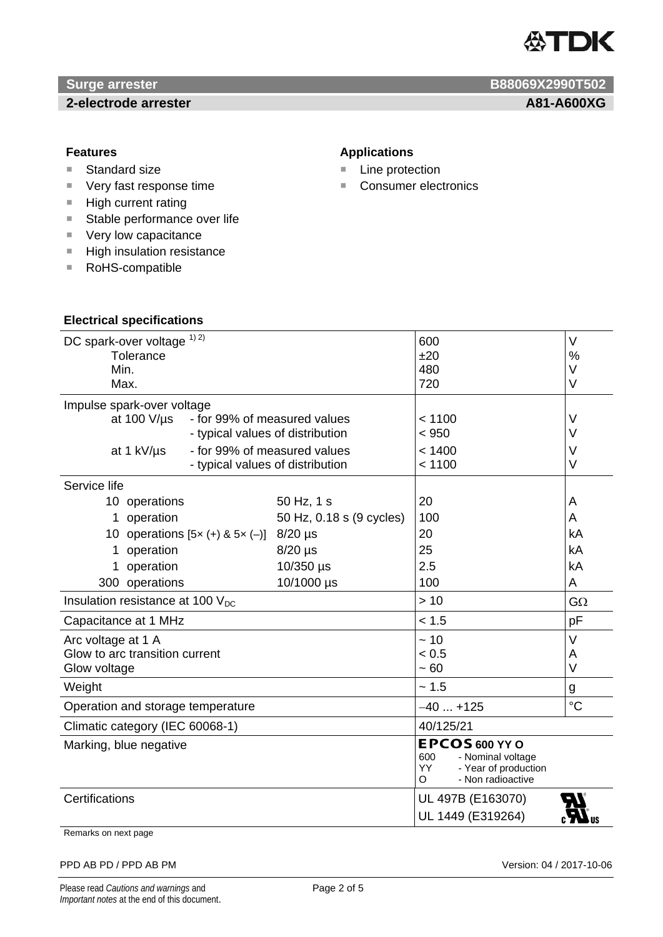

# *Surge arrester* **B88069X2990T502**

# **2-electrode arrester A81-A600XG A81-A600XG**

- Standard size
- Very fast response time
- $H$ igh current rating
- Stable performance over life
- **Very low capacitance**

**Electrical specifications**

- High insulation resistance
- RoHS-compatible

# **Features Applications Applications**

- Line protection
- Consumer electronics

| DC spark-over voltage 1) 2)                      |                          | 600                                                   | $\vee$          |
|--------------------------------------------------|--------------------------|-------------------------------------------------------|-----------------|
| Tolerance                                        |                          | ±20                                                   | $\frac{0}{0}$   |
| Min.                                             |                          | 480                                                   | V               |
| Max.                                             |                          | 720                                                   | V               |
| Impulse spark-over voltage                       |                          |                                                       |                 |
| at 100 $V/\mu s$<br>- for 99% of measured values |                          | < 1100                                                | $\vee$          |
| - typical values of distribution                 |                          | < 950                                                 | $\vee$          |
| at 1 kV/µs<br>- for 99% of measured values       |                          | < 1400                                                | $\vee$          |
| - typical values of distribution                 |                          | < 1100                                                | V               |
| Service life                                     |                          |                                                       |                 |
| 10 operations                                    | 50 Hz, 1 s               | 20                                                    | A               |
| operation<br>1                                   | 50 Hz, 0.18 s (9 cycles) | 100                                                   | A               |
| 10 operations $[5x (+) & 5x (-)]$ 8/20 µs        |                          | 20                                                    | kA              |
| operation<br>1                                   | $8/20$ µs                | 25                                                    | kA              |
| 1 operation                                      | 10/350 µs                | 2.5                                                   | kA              |
| 300 operations                                   | 10/1000 µs               | 100                                                   | A               |
| Insulation resistance at 100 $V_{DC}$            |                          | >10                                                   | $G\Omega$       |
| Capacitance at 1 MHz                             |                          | < 1.5                                                 | pF              |
| Arc voltage at 1 A                               |                          | ~10                                                   | $\vee$          |
| Glow to arc transition current                   |                          | < 0.5                                                 | A               |
| Glow voltage                                     |                          | ~100                                                  | $\vee$          |
| Weight                                           |                          | ~1.5                                                  | g               |
| Operation and storage temperature                |                          | $-40+125$                                             | $\rm ^{\circ}C$ |
| Climatic category (IEC 60068-1)                  |                          | 40/125/21                                             |                 |
| Marking, blue negative                           |                          | EPCOS 600 YY O                                        |                 |
|                                                  |                          | 600<br>- Nominal voltage                              |                 |
|                                                  |                          | YY.<br>- Year of production<br>- Non radioactive<br>O |                 |
| Certifications                                   |                          | UL 497B (E163070)                                     |                 |
|                                                  |                          |                                                       |                 |
|                                                  |                          | UL 1449 (E319264)                                     |                 |

Remarks on next page

#### PPD AB PD / PPD AB PM Version: 04 / 2017-10-06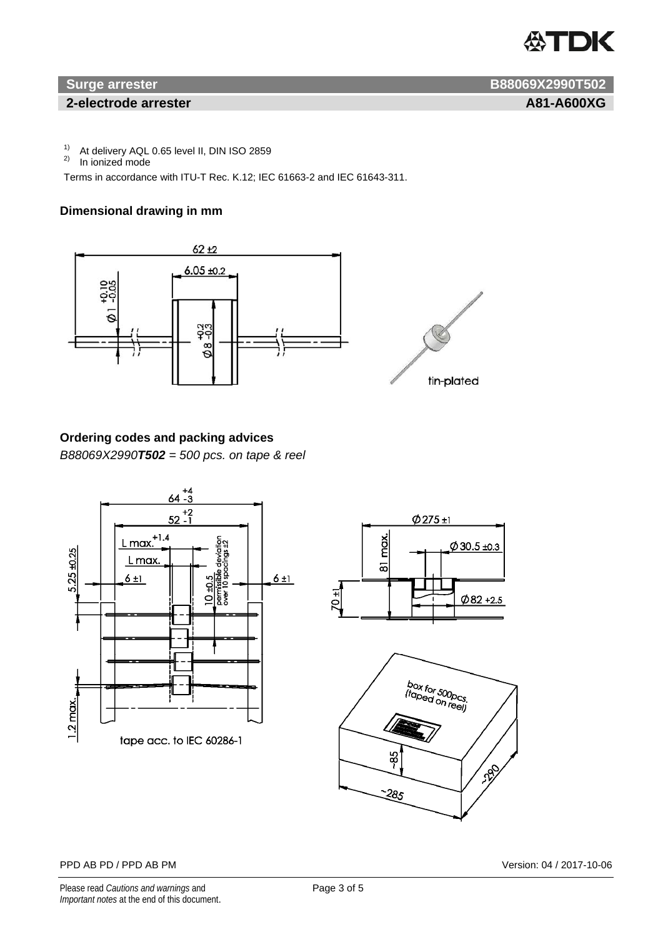

### **2-electrode arrester A81-A600XG A81-A600XG**

**Surge arrester B88069X2990T502** 

<sup>1)</sup> At delivery AQL 0.65 level II, DIN ISO 2859<br><sup>2)</sup> In jonized mode

In ionized mode

Terms in accordance with ITU-T Rec. K.12; IEC 61663-2 and IEC 61643-311.

# **Dimensional drawing in mm**



# **Ordering codes and packing advices**

*B88069X2990T502 = 500 pcs. on tape & reel* 







#### PPD AB PD / PPD AB PM Version: 04 / 2017-10-06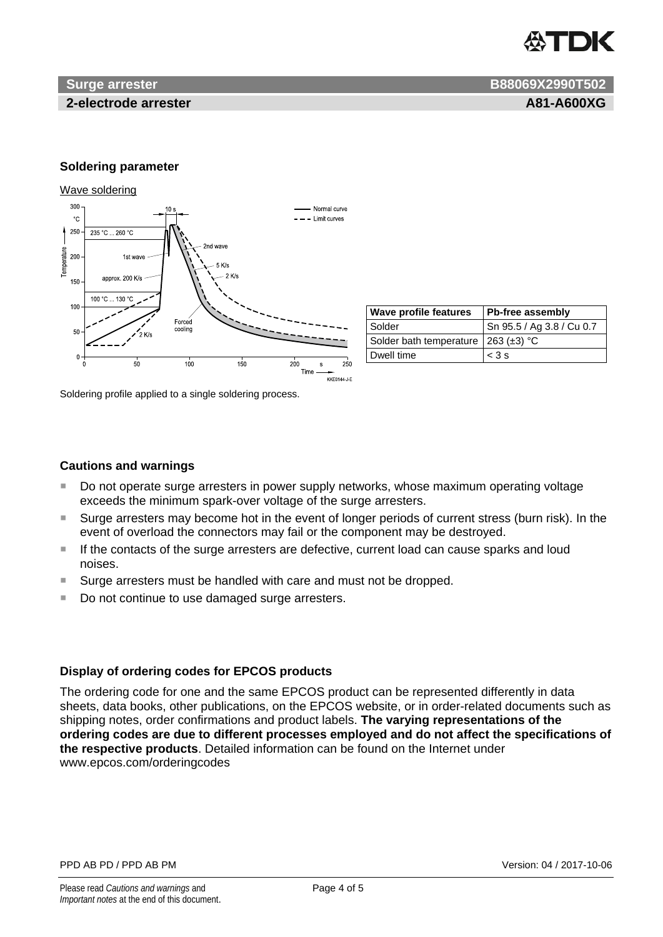

## **2-electrode arrester A81-A600XG**

**Surge arrester B88069X2990T502 B88069X2990T502** 

### **Soldering parameter**

#### Wave soldering



| <b>Wave profile features</b>          | <b>Pb-free assembly</b>   |  |
|---------------------------------------|---------------------------|--|
| <b>Solder</b>                         | Sn 95.5 / Ag 3.8 / Cu 0.7 |  |
| Solder bath temperature   263 (±3) °C |                           |  |
| Dwell time                            | $<$ 3 s                   |  |

Soldering profile applied to a single soldering process.

### **Cautions and warnings**

- Do not operate surge arresters in power supply networks, whose maximum operating voltage exceeds the minimum spark-over voltage of the surge arresters.
- Surge arresters may become hot in the event of longer periods of current stress (burn risk). In the event of overload the connectors may fail or the component may be destroyed.
- If the contacts of the surge arresters are defective, current load can cause sparks and loud noises.
- Surge arresters must be handled with care and must not be dropped.
- Do not continue to use damaged surge arresters.

### **Display of ordering codes for EPCOS products**

The ordering code for one and the same EPCOS product can be represented differently in data sheets, data books, other publications, on the EPCOS website, or in order-related documents such as shipping notes, order confirmations and product labels. **The varying representations of the ordering codes are due to different processes employed and do not affect the specifications of the respective products**. Detailed information can be found on the Internet under www.epcos.com/orderingcodes